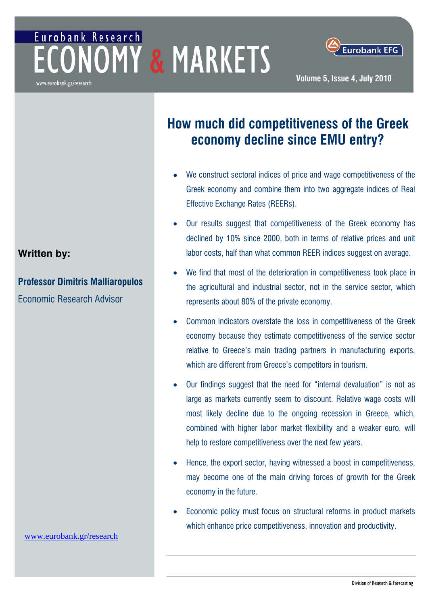# Eurobank Research **ONOMY & MARKETS**



#### www.eurobank.gr/research

# **How much did competitiveness of the Greek economy decline since EMU entry?**

- We construct sectoral indices of price and wage competitiveness of the Greek economy and combine them into two aggregate indices of Real Effective Exchange Rates (REERs).
- **•** Our results suggest that competitiveness of the Greek economy has declined by 10% since 2000, both in terms of relative prices and unit labor costs, half than what common REER indices suggest on average.
- We find that most of the deterioration in competitiveness took place in the agricultural and industrial sector, not in the service sector, which represents about 80% of the private economy.
- Common indicators overstate the loss in competitiveness of the Greek economy because they estimate competitiveness of the service sector relative to Greece's main trading partners in manufacturing exports, which are different from Greece's competitors in tourism.
- Our findings suggest that the need for "internal devaluation" is not as large as markets currently seem to discount. Relative wage costs will most likely decline due to the ongoing recession in Greece, which, combined with higher labor market flexibility and a weaker euro, will help to restore competitiveness over the next few years.
- Hence, the export sector, having witnessed a boost in competitiveness, may become one of the main driving forces of growth for the Greek economy in the future.
- Economic policy must focus on structural reforms in product markets which enhance price competitiveness, innovation and productivity.

# **Written by:**

**Professor Dimitris Malliaropulos**  Economic Research Advisor

[www.eurobank.gr/research](http://www.eurobank.gr/research)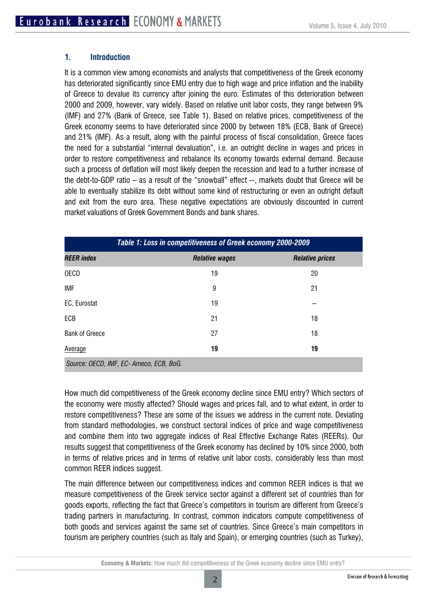#### **1. Introduction**

It is a common view among economists and analysts that competitiveness of the Greek economy has deteriorated significantly since EMU entry due to high wage and price inflation and the inability of Greece to devalue its currency after joining the euro. Estimates of this deterioration between 2000 and 2009, however, vary widely. Based on relative unit labor costs, they range between 9% (IMF) and 27% (Bank of Greece, see Table 1). Based on relative prices, competitiveness of the Greek economy seems to have deteriorated since 2000 by between 18% (ECB, Bank of Greece) and 21% (IMF). As a result, along with the painful process of fiscal consolidation, Greece faces the need for a substantial "internal devaluation", i.e. an outright decline in wages and prices in order to restore competitiveness and rebalance its economy towards external demand. Because such a process of deflation will most likely deepen the recession and lead to a further increase of the debt-to-GDP ratio – as a result of the "snowball" effect --, markets doubt that Greece will be able to eventually stabilize its debt without some kind of restructuring or even an outright default and exit from the euro area. These negative expectations are obviously discounted in current market valuations of Greek Government Bonds and bank shares.

| Table 1: Loss in competitiveness of Greek economy 2000-2009 |                       |                        |  |
|-------------------------------------------------------------|-----------------------|------------------------|--|
| <b>REER</b> index                                           | <b>Relative wages</b> | <b>Relative prices</b> |  |
| <b>OECD</b>                                                 | 19                    | 20                     |  |
| <b>IMF</b>                                                  | 9                     | 21                     |  |
| EC, Eurostat                                                | 19                    | --                     |  |
| ECB                                                         | 21                    | 18                     |  |
| <b>Bank of Greece</b>                                       | 27                    | 18                     |  |
| Average                                                     | 19                    | 19                     |  |
| Source: OECD, IMF, EC- Ameco, ECB, BoG.                     |                       |                        |  |

How much did competitiveness of the Greek economy decline since EMU entry? Which sectors of the economy were mostly affected? Should wages and prices fall, and to what extent, in order to restore competitiveness? These are some of the issues we address in the current note. Deviating from standard methodologies, we construct sectoral indices of price and wage competitiveness and combine them into two aggregate indices of Real Effective Exchange Rates (REERs). Our results suggest that competitiveness of the Greek economy has declined by 10% since 2000, both in terms of relative prices and in terms of relative unit labor costs, considerably less than most common REER indices suggest.

The main difference between our competitiveness indices and common REER indices is that we measure competitiveness of the Greek service sector against a different set of countries than for goods exports, reflecting the fact that Greece's competitors in tourism are different from Greece's trading partners in manufacturing. In contrast, common indicators compute competitiveness of both goods and services against the same set of countries. Since Greece's main competitors in tourism are periphery countries (such as Italy and Spain), or emerging countries (such as Turkey),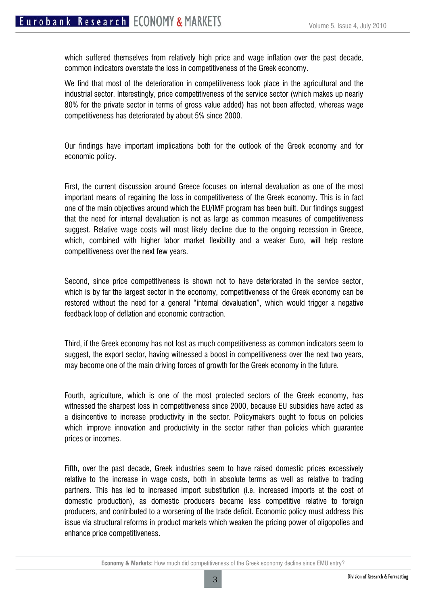which suffered themselves from relatively high price and wage inflation over the past decade, common indicators overstate the loss in competitiveness of the Greek economy.

We find that most of the deterioration in competitiveness took place in the agricultural and the industrial sector. Interestingly, price competitiveness of the service sector (which makes up nearly 80% for the private sector in terms of gross value added) has not been affected, whereas wage competitiveness has deteriorated by about 5% since 2000.

Our findings have important implications both for the outlook of the Greek economy and for economic policy.

First, the current discussion around Greece focuses on internal devaluation as one of the most important means of regaining the loss in competitiveness of the Greek economy. This is in fact one of the main objectives around which the EU/IMF program has been built. Our findings suggest that the need for internal devaluation is not as large as common measures of competitiveness suggest. Relative wage costs will most likely decline due to the ongoing recession in Greece, which, combined with higher labor market flexibility and a weaker Euro, will help restore competitiveness over the next few years.

Second, since price competitiveness is shown not to have deteriorated in the service sector, which is by far the largest sector in the economy, competitiveness of the Greek economy can be restored without the need for a general "internal devaluation", which would trigger a negative feedback loop of deflation and economic contraction.

Third, if the Greek economy has not lost as much competitiveness as common indicators seem to suggest, the export sector, having witnessed a boost in competitiveness over the next two years, may become one of the main driving forces of growth for the Greek economy in the future.

Fourth, agriculture, which is one of the most protected sectors of the Greek economy, has witnessed the sharpest loss in competitiveness since 2000, because EU subsidies have acted as a disincentive to increase productivity in the sector. Policymakers ought to focus on policies which improve innovation and productivity in the sector rather than policies which guarantee prices or incomes.

Fifth, over the past decade, Greek industries seem to have raised domestic prices excessively relative to the increase in wage costs, both in absolute terms as well as relative to trading partners. This has led to increased import substitution (i.e. increased imports at the cost of domestic production), as domestic producers became less competitive relative to foreign producers, and contributed to a worsening of the trade deficit. Economic policy must address this issue via structural reforms in product markets which weaken the pricing power of oligopolies and enhance price competitiveness.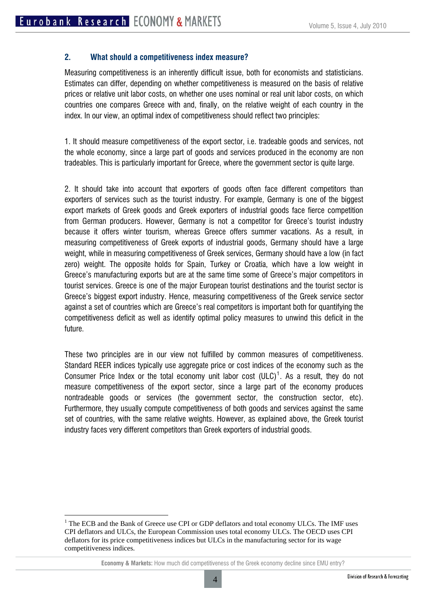#### **2. What should a competitiveness index measure?**

Measuring competitiveness is an inherently difficult issue, both for economists and statisticians. Estimates can differ, depending on whether competitiveness is measured on the basis of relative prices or relative unit labor costs, on whether one uses nominal or real unit labor costs, on which countries one compares Greece with and, finally, on the relative weight of each country in the index. In our view, an optimal index of competitiveness should reflect two principles:

1. It should measure competitiveness of the export sector, i.e. tradeable goods and services, not the whole economy, since a large part of goods and services produced in the economy are non tradeables. This is particularly important for Greece, where the government sector is quite large.

2. It should take into account that exporters of goods often face different competitors than exporters of services such as the tourist industry. For example, Germany is one of the biggest export markets of Greek goods and Greek exporters of industrial goods face fierce competition from German producers. However, Germany is not a competitor for Greece's tourist industry because it offers winter tourism, whereas Greece offers summer vacations. As a result, in measuring competitiveness of Greek exports of industrial goods, Germany should have a large weight, while in measuring competitiveness of Greek services, Germany should have a low (in fact zero) weight. The opposite holds for Spain, Turkey or Croatia, which have a low weight in Greece's manufacturing exports but are at the same time some of Greece's major competitors in tourist services. Greece is one of the major European tourist destinations and the tourist sector is Greece's biggest export industry. Hence, measuring competitiveness of the Greek service sector against a set of countries which are Greece's real competitors is important both for quantifying the competitiveness deficit as well as identify optimal policy measures to unwind this deficit in the future.

These two principles are in our view not fulfilled by common measures of competitiveness. Standard REER indices typically use aggregate price or cost indices of the economy such as the Consumer Price Index or the total economy unit labor cost  $(ULC)^1$  $(ULC)^1$ . As a result, they do not measure competitiveness of the export sector, since a large part of the economy produces nontradeable goods or services (the government sector, the construction sector, etc). Furthermore, they usually compute competitiveness of both goods and services against the same set of countries, with the same relative weights. However, as explained above, the Greek tourist industry faces very different competitors than Greek exporters of industrial goods.

<span id="page-3-0"></span><sup>&</sup>lt;sup>1</sup> The ECB and the Bank of Greece use CPI or GDP deflators and total economy ULCs. The IMF uses CPI deflators and ULCs, the European Commission uses total economy ULCs. The OECD uses CPI deflators for its price competitiveness indices but ULCs in the manufacturing sector for its wage competitiveness indices.

**Economy & Markets:** How much did competitiveness of the Greek economy decline since EMU entry?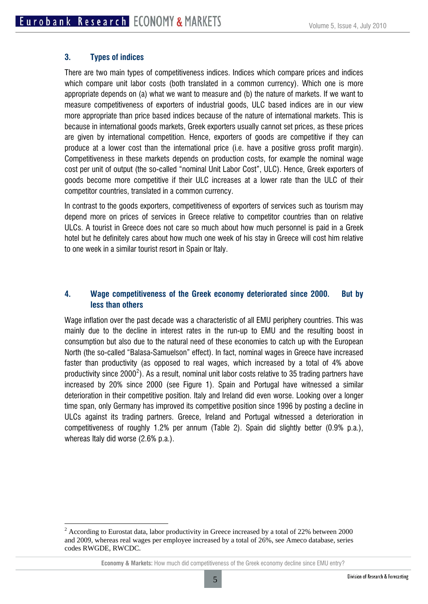#### **3. Types of indices**

 $\overline{a}$ 

There are two main types of competitiveness indices. Indices which compare prices and indices which compare unit labor costs (both translated in a common currency). Which one is more appropriate depends on (a) what we want to measure and (b) the nature of markets. If we want to measure competitiveness of exporters of industrial goods, ULC based indices are in our view more appropriate than price based indices because of the nature of international markets. This is because in international goods markets, Greek exporters usually cannot set prices, as these prices are given by international competition. Hence, exporters of goods are competitive if they can produce at a lower cost than the international price (i.e. have a positive gross profit margin). Competitiveness in these markets depends on production costs, for example the nominal wage cost per unit of output (the so-called "nominal Unit Labor Cost", ULC). Hence, Greek exporters of goods become more competitive if their ULC increases at a lower rate than the ULC of their competitor countries, translated in a common currency.

In contrast to the goods exporters, competitiveness of exporters of services such as tourism may depend more on prices of services in Greece relative to competitor countries than on relative ULCs. A tourist in Greece does not care so much about how much personnel is paid in a Greek hotel but he definitely cares about how much one week of his stay in Greece will cost him relative to one week in a similar tourist resort in Spain or Italy.

## **4. Wage competitiveness of the Greek economy deteriorated since 2000. But by less than others**

Wage inflation over the past decade was a characteristic of all EMU periphery countries. This was mainly due to the decline in interest rates in the run-up to EMU and the resulting boost in consumption but also due to the natural need of these economies to catch up with the European North (the so-called "Balasa-Samuelson" effect). In fact, nominal wages in Greece have increased faster than productivity (as opposed to real wages, which increased by a total of 4% above productivity since [2](#page-4-0)000<sup>2</sup>). As a result, nominal unit labor costs relative to 35 trading partners have increased by 20% since 2000 (see Figure 1). Spain and Portugal have witnessed a similar deterioration in their competitive position. Italy and Ireland did even worse. Looking over a longer time span, only Germany has improved its competitive position since 1996 by posting a decline in ULCs against its trading partners. Greece, Ireland and Portugal witnessed a deterioration in competitiveness of roughly 1.2% per annum (Table 2). Spain did slightly better (0.9% p.a.), whereas Italy did worse (2.6% p.a.).

<span id="page-4-0"></span> $2^{2}$  According to Eurostat data, labor productivity in Greece increased by a total of 22% between 2000 and 2009, whereas real wages per employee increased by a total of 26%, see Ameco database, series codes RWGDE, RWCDC.

**Economy & Markets:** How much did competitiveness of the Greek economy decline since EMU entry?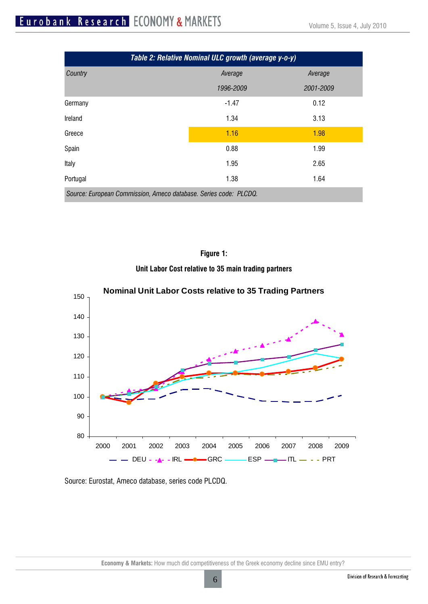# Eurobank Research ECONOMY & MARKETS

| Table 2: Relative Nominal ULC growth (average y-o-y)             |           |           |  |
|------------------------------------------------------------------|-----------|-----------|--|
| Country                                                          | Average   | Average   |  |
|                                                                  | 1996-2009 | 2001-2009 |  |
| Germany                                                          | $-1.47$   | 0.12      |  |
| Ireland                                                          | 1.34      | 3.13      |  |
| Greece                                                           | 1.16      | 1.98      |  |
| Spain                                                            | 0.88      | 1.99      |  |
| Italy                                                            | 1.95      | 2.65      |  |
| Portugal                                                         | 1.38      | 1.64      |  |
| Source: European Commission, Ameco database. Series code: PLCDQ. |           |           |  |



**Unit Labor Cost relative to 35 main trading partners** 



#### Source: Eurostat, Ameco database, series code PLCDQ.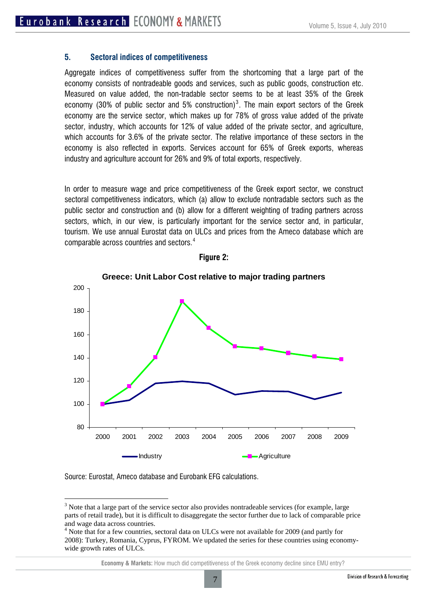#### **5. Sectoral indices of competitiveness**

Aggregate indices of competitiveness suffer from the shortcoming that a large part of the economy consists of nontradeable goods and services, such as public goods, construction etc. Measured on value added, the non-tradable sector seems to be at least 35% of the Greek economy ([3](#page-6-0)0% of public sector and 5% construction)<sup>3</sup>. The main export sectors of the Greek economy are the service sector, which makes up for 78% of gross value added of the private sector, industry, which accounts for 12% of value added of the private sector, and agriculture, which accounts for 3.6% of the private sector. The relative importance of these sectors in the economy is also reflected in exports. Services account for 65% of Greek exports, whereas industry and agriculture account for 26% and 9% of total exports, respectively.

In order to measure wage and price competitiveness of the Greek export sector, we construct sectoral competitiveness indicators, which (a) allow to exclude nontradable sectors such as the public sector and construction and (b) allow for a different weighting of trading partners across sectors, which, in our view, is particularly important for the service sector and, in particular, tourism. We use annual Eurostat data on ULCs and prices from the Ameco database which are comparable across countries and sectors. [4](#page-6-1)



#### **Figure 2:**

Source: Eurostat, Ameco database and Eurobank EFG calculations.

<span id="page-6-0"></span> $3$  Note that a large part of the service sector also provides nontradeable services (for example, large parts of retail trade), but it is difficult to disaggregate the sector further due to lack of comparable price and wage data across countries.

<span id="page-6-1"></span><sup>&</sup>lt;sup>4</sup> Note that for a few countries, sectoral data on ULCs were not available for 2009 (and partly for 2008): Turkey, Romania, Cyprus, FYROM. We updated the series for these countries using economywide growth rates of ULCs.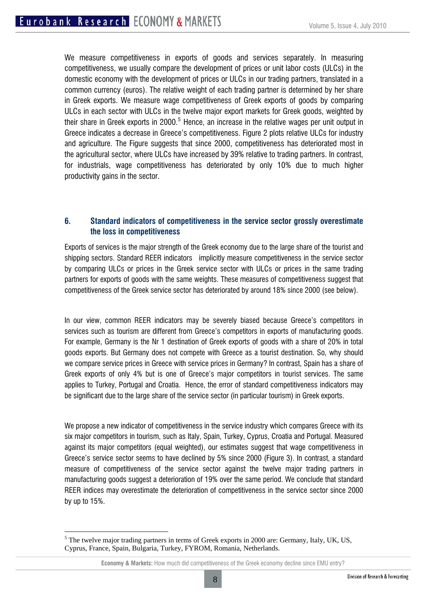We measure competitiveness in exports of goods and services separately. In measuring competitiveness, we usually compare the development of prices or unit labor costs (ULCs) in the domestic economy with the development of prices or ULCs in our trading partners, translated in a common currency (euros). The relative weight of each trading partner is determined by her share in Greek exports. We measure wage competitiveness of Greek exports of goods by comparing ULCs in each sector with ULCs in the twelve major export markets for Greek goods, weighted by their share in Greek exports in 2000. $^5$  $^5$  Hence, an increase in the relative wages per unit output in Greece indicates a decrease in Greece's competitiveness. Figure 2 plots relative ULCs for industry and agriculture. The Figure suggests that since 2000, competitiveness has deteriorated most in the agricultural sector, where ULCs have increased by 39% relative to trading partners. In contrast, for industrials, wage competitiveness has deteriorated by only 10% due to much higher productivity gains in the sector.

# **6. Standard indicators of competitiveness in the service sector grossly overestimate the loss in competitiveness**

Exports of services is the major strength of the Greek economy due to the large share of the tourist and shipping sectors. Standard REER indicators implicitly measure competitiveness in the service sector by comparing ULCs or prices in the Greek service sector with ULCs or prices in the same trading partners for exports of goods with the same weights. These measures of competitiveness suggest that competitiveness of the Greek service sector has deteriorated by around 18% since 2000 (see below).

In our view, common REER indicators may be severely biased because Greece's competitors in services such as tourism are different from Greece's competitors in exports of manufacturing goods. For example, Germany is the Nr 1 destination of Greek exports of goods with a share of 20% in total goods exports. But Germany does not compete with Greece as a tourist destination. So, why should we compare service prices in Greece with service prices in Germany? In contrast, Spain has a share of Greek exports of only 4% but is one of Greece's major competitors in tourist services. The same applies to Turkey, Portugal and Croatia. Hence, the error of standard competitiveness indicators may be significant due to the large share of the service sector (in particular tourism) in Greek exports.

We propose a new indicator of competitiveness in the service industry which compares Greece with its six major competitors in tourism, such as Italy, Spain, Turkey, Cyprus, Croatia and Portugal. Measured against its major competitors (equal weighted), our estimates suggest that wage competitiveness in Greece's service sector seems to have declined by 5% since 2000 (Figure 3). In contrast, a standard measure of competitiveness of the service sector against the twelve major trading partners in manufacturing goods suggest a deterioration of 19% over the same period. We conclude that standard REER indices may overestimate the deterioration of competitiveness in the service sector since 2000 by up to 15%.

<span id="page-7-0"></span> $<sup>5</sup>$  The twelve major trading partners in terms of Greek exports in 2000 are: Germany, Italy, UK, US,</sup> Cyprus, France, Spain, Bulgaria, Turkey, FYROM, Romania, Netherlands.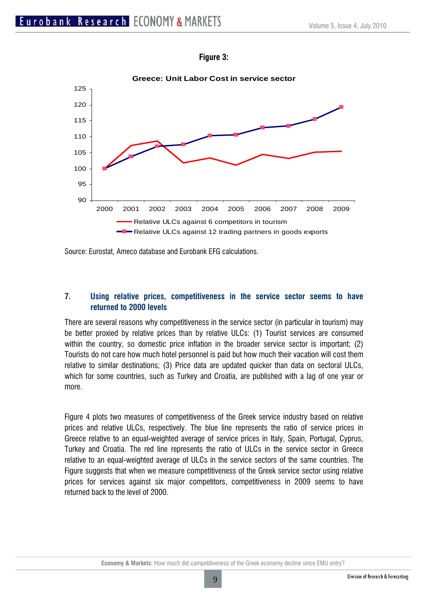



Source: Eurostat, Ameco database and Eurobank EFG calculations.

# **7. Using relative prices, competitiveness in the service sector seems to have returned to 2000 levels**

There are several reasons why competitiveness in the service sector (in particular in tourism) may be better proxied by relative prices than by relative ULCs: (1) Tourist services are consumed within the country, so domestic price inflation in the broader service sector is important; (2) Tourists do not care how much hotel personnel is paid but how much their vacation will cost them relative to similar destinations; (3) Price data are updated quicker than data on sectoral ULCs, which for some countries, such as Turkey and Croatia, are published with a lag of one year or more.

Figure 4 plots two measures of competitiveness of the Greek service industry based on relative prices and relative ULCs, respectively. The blue line represents the ratio of service prices in Greece relative to an equal-weighted average of service prices in Italy, Spain, Portugal, Cyprus, Turkey and Croatia. The red line represents the ratio of ULCs in the service sector in Greece relative to an equal-weighted average of ULCs in the service sectors of the same countries. The Figure suggests that when we measure competitiveness of the Greek service sector using relative prices for services against six major competitors, competitiveness in 2009 seems to have returned back to the level of 2000.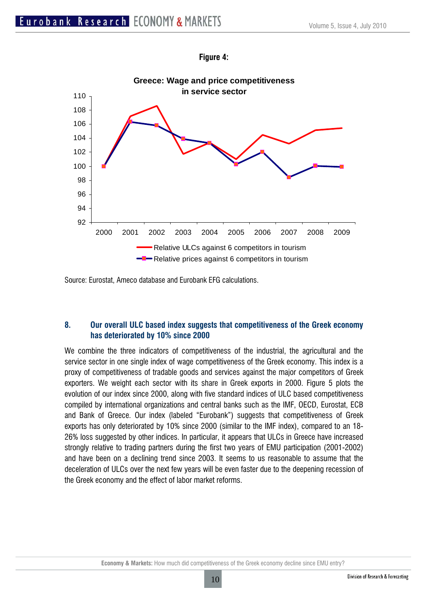



Source: Eurostat, Ameco database and Eurobank EFG calculations.

# **8. Our overall ULC based index suggests that competitiveness of the Greek economy has deteriorated by 10% since 2000**

We combine the three indicators of competitiveness of the industrial, the agricultural and the service sector in one single index of wage competitiveness of the Greek economy. This index is a proxy of competitiveness of tradable goods and services against the major competitors of Greek exporters. We weight each sector with its share in Greek exports in 2000. Figure 5 plots the evolution of our index since 2000, along with five standard indices of ULC based competitiveness compiled by international organizations and central banks such as the IMF, OECD, Eurostat, ECB and Bank of Greece. Our index (labeled "Eurobank") suggests that competitiveness of Greek exports has only deteriorated by 10% since 2000 (similar to the IMF index), compared to an 18- 26% loss suggested by other indices. In particular, it appears that ULCs in Greece have increased strongly relative to trading partners during the first two years of EMU participation (2001-2002) and have been on a declining trend since 2003. It seems to us reasonable to assume that the deceleration of ULCs over the next few years will be even faster due to the deepening recession of the Greek economy and the effect of labor market reforms.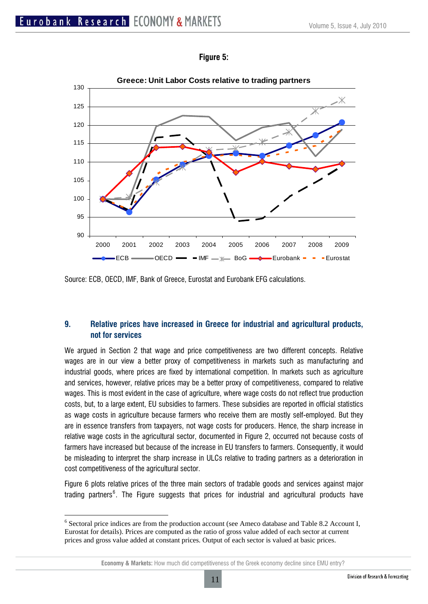



Source: ECB, OECD, IMF, Bank of Greece, Eurostat and Eurobank EFG calculations.

# **9. Relative prices have increased in Greece for industrial and agricultural products, not for services**

We argued in Section 2 that wage and price competitiveness are two different concepts. Relative wages are in our view a better proxy of competitiveness in markets such as manufacturing and industrial goods, where prices are fixed by international competition. In markets such as agriculture and services, however, relative prices may be a better proxy of competitiveness, compared to relative wages. This is most evident in the case of agriculture, where wage costs do not reflect true production costs, but, to a large extent, EU subsidies to farmers. These subsidies are reported in official statistics as wage costs in agriculture because farmers who receive them are mostly self-employed. But they are in essence transfers from taxpayers, not wage costs for producers. Hence, the sharp increase in relative wage costs in the agricultural sector, documented in Figure 2, occurred not because costs of farmers have increased but because of the increase in EU transfers to farmers. Consequently, it would be misleading to interpret the sharp increase in ULCs relative to trading partners as a deterioration in cost competitiveness of the agricultural sector.

Figure 6 plots relative prices of the three main sectors of tradable goods and services against major trading partners<sup>[6](#page-10-0)</sup>. The Figure suggests that prices for industrial and agricultural products have

<span id="page-10-0"></span><sup>&</sup>lt;sup>6</sup> Sectoral price indices are from the production account (see Ameco database and Table 8.2 Account I, Eurostat for details). Prices are computed as the ratio of gross value added of each sector at current prices and gross value added at constant prices. Output of each sector is valued at basic prices.

**Economy & Markets:** How much did competitiveness of the Greek economy decline since EMU entry?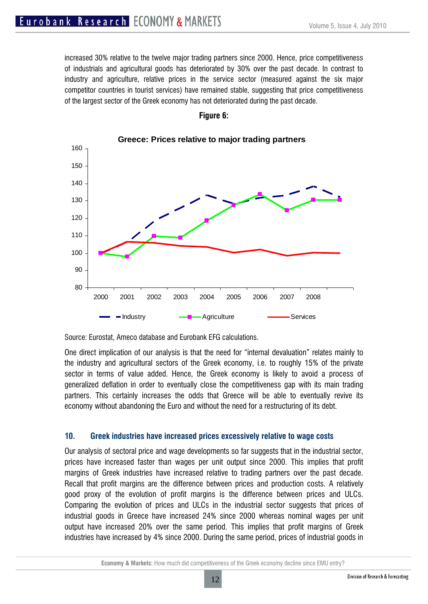increased 30% relative to the twelve major trading partners since 2000. Hence, price competitiveness of industrials and agricultural goods has deteriorated by 30% over the past decade. In contrast to industry and agriculture, relative prices in the service sector (measured against the six major competitor countries in tourist services) have remained stable, suggesting that price competitiveness of the largest sector of the Greek economy has not deteriorated during the past decade.



#### **Figure 6:**

Source: Eurostat, Ameco database and Eurobank EFG calculations.

One direct implication of our analysis is that the need for "internal devaluation" relates mainly to the industry and agricultural sectors of the Greek economy, i.e. to roughly 15% of the private sector in terms of value added. Hence, the Greek economy is likely to avoid a process of generalized deflation in order to eventually close the competitiveness gap with its main trading partners. This certainly increases the odds that Greece will be able to eventually revive its economy without abandoning the Euro and without the need for a restructuring of its debt.

#### **10. Greek industries have increased prices excessively relative to wage costs**

Our analysis of sectoral price and wage developments so far suggests that in the industrial sector, prices have increased faster than wages per unit output since 2000. This implies that profit margins of Greek industries have increased relative to trading partners over the past decade. Recall that profit margins are the difference between prices and production costs. A relatively good proxy of the evolution of profit margins is the difference between prices and ULCs. Comparing the evolution of prices and ULCs in the industrial sector suggests that prices of industrial goods in Greece have increased 24% since 2000 whereas nominal wages per unit output have increased 20% over the same period. This implies that profit margins of Greek industries have increased by 4% since 2000. During the same period, prices of industrial goods in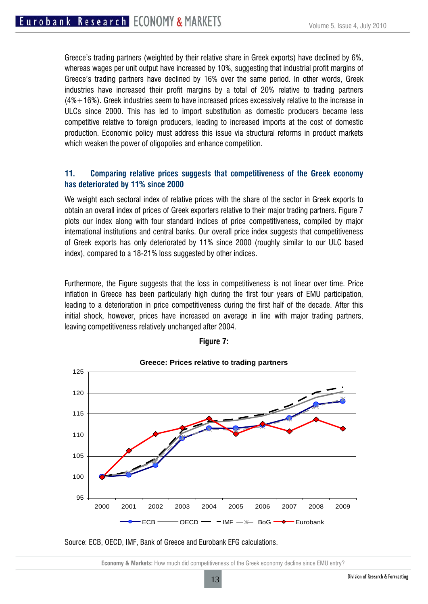Greece's trading partners (weighted by their relative share in Greek exports) have declined by 6%, whereas wages per unit output have increased by 10%, suggesting that industrial profit margins of Greece's trading partners have declined by 16% over the same period. In other words, Greek industries have increased their profit margins by a total of 20% relative to trading partners (4%+16%). Greek industries seem to have increased prices excessively relative to the increase in ULCs since 2000. This has led to import substitution as domestic producers became less competitive relative to foreign producers, leading to increased imports at the cost of domestic production. Economic policy must address this issue via structural reforms in product markets which weaken the power of oligopolies and enhance competition.

## **11. Comparing relative prices suggests that competitiveness of the Greek economy has deteriorated by 11% since 2000**

We weight each sectoral index of relative prices with the share of the sector in Greek exports to obtain an overall index of prices of Greek exporters relative to their major trading partners. Figure 7 plots our index along with four standard indices of price competitiveness, compiled by major international institutions and central banks. Our overall price index suggests that competitiveness of Greek exports has only deteriorated by 11% since 2000 (roughly similar to our ULC based index), compared to a 18-21% loss suggested by other indices.

Furthermore, the Figure suggests that the loss in competitiveness is not linear over time. Price inflation in Greece has been particularly high during the first four years of EMU participation, leading to a deterioration in price competitiveness during the first half of the decade. After this initial shock, however, prices have increased on average in line with major trading partners, leaving competitiveness relatively unchanged after 2004.



#### **Figure 7:**

Source: ECB, OECD, IMF, Bank of Greece and Eurobank EFG calculations.

**Economy & Markets:** How much did competitiveness of the Greek economy decline since EMU entry?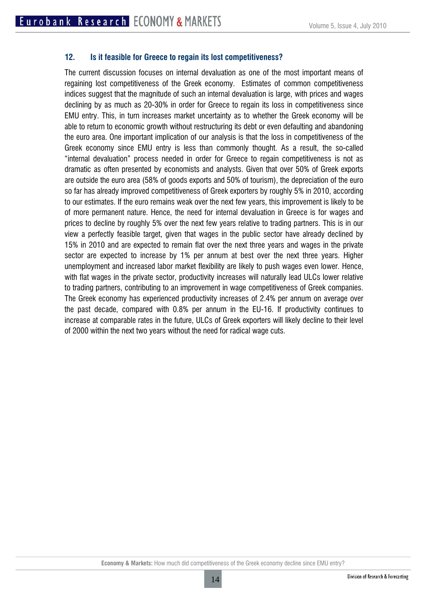### **12. Is it feasible for Greece to regain its lost competitiveness?**

The current discussion focuses on internal devaluation as one of the most important means of regaining lost competitiveness of the Greek economy. Estimates of common competitiveness indices suggest that the magnitude of such an internal devaluation is large, with prices and wages declining by as much as 20-30% in order for Greece to regain its loss in competitiveness since EMU entry. This, in turn increases market uncertainty as to whether the Greek economy will be able to return to economic growth without restructuring its debt or even defaulting and abandoning the euro area. One important implication of our analysis is that the loss in competitiveness of the Greek economy since EMU entry is less than commonly thought. As a result, the so-called "internal devaluation" process needed in order for Greece to regain competitiveness is not as dramatic as often presented by economists and analysts. Given that over 50% of Greek exports are outside the euro area (58% of goods exports and 50% of tourism), the depreciation of the euro so far has already improved competitiveness of Greek exporters by roughly 5% in 2010, according to our estimates. If the euro remains weak over the next few years, this improvement is likely to be of more permanent nature. Hence, the need for internal devaluation in Greece is for wages and prices to decline by roughly 5% over the next few years relative to trading partners. This is in our view a perfectly feasible target, given that wages in the public sector have already declined by 15% in 2010 and are expected to remain flat over the next three years and wages in the private sector are expected to increase by 1% per annum at best over the next three years. Higher unemployment and increased labor market flexibility are likely to push wages even lower. Hence, with flat wages in the private sector, productivity increases will naturally lead ULCs lower relative to trading partners, contributing to an improvement in wage competitiveness of Greek companies. The Greek economy has experienced productivity increases of 2.4% per annum on average over the past decade, compared with 0.8% per annum in the EU-16. If productivity continues to increase at comparable rates in the future, ULCs of Greek exporters will likely decline to their level of 2000 within the next two years without the need for radical wage cuts.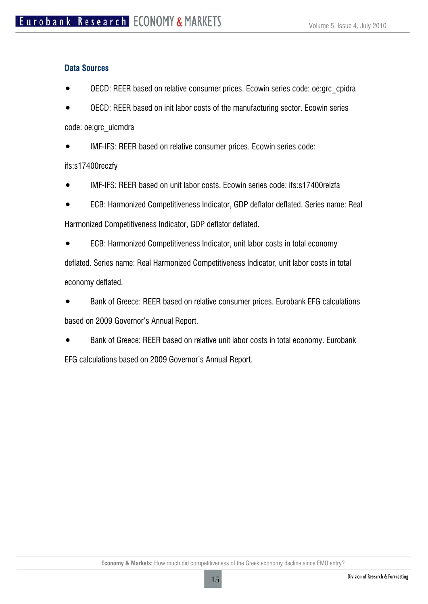# **Data Sources**

- OECD: REER based on relative consumer prices. Ecowin series code: oe:grc\_cpidra
- OECD: REER based on init labor costs of the manufacturing sector. Ecowin series code: oe:grc\_ulcmdra

• IMF-IFS: REER based on relative consumer prices. Ecowin series code:

# ifs:s17400reczfy

- IMF-IFS: REER based on unit labor costs. Ecowin series code: ifs:s17400relzfa
- ECB: Harmonized Competitiveness Indicator, GDP deflator deflated. Series name: Real Harmonized Competitiveness Indicator, GDP deflator deflated.
- ECB: Harmonized Competitiveness Indicator, unit labor costs in total economy deflated. Series name: Real Harmonized Competitiveness Indicator, unit labor costs in total economy deflated.
- Bank of Greece: REER based on relative consumer prices. Eurobank EFG calculations based on 2009 Governor's Annual Report.
- Bank of Greece: REER based on relative unit labor costs in total economy. Eurobank EFG calculations based on 2009 Governor's Annual Report.